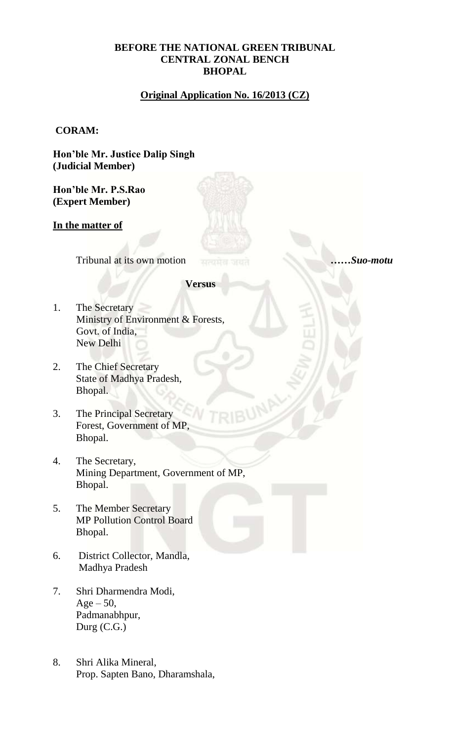### **BEFORE THE NATIONAL GREEN TRIBUNAL CENTRAL ZONAL BENCH BHOPAL**

# **Original Application No. 16/2013 (CZ)**

### **CORAM:**

**Hon'ble Mr. Justice Dalip Singh (Judicial Member)** 

**Hon'ble Mr. P.S.Rao (Expert Member)**

### **In the matter of**

Tribunal at its own motion *……Suo-motu*

**Versus**

- 1. The Secretary Ministry of Environment & Forests, Govt. of India, New Delhi
- 2. The Chief Secretary State of Madhya Pradesh, Bhopal.
- 3. The Principal Secretary Forest, Government of MP, Bhopal.
- 4. The Secretary, Mining Department, Government of MP, Bhopal.
- 5. The Member Secretary MP Pollution Control Board Bhopal.
- 6. District Collector, Mandla, Madhya Pradesh
- 7. Shri Dharmendra Modi,  $Age - 50,$ Padmanabhpur, Durg (C.G.)
- 8. Shri Alika Mineral, Prop. Sapten Bano, Dharamshala,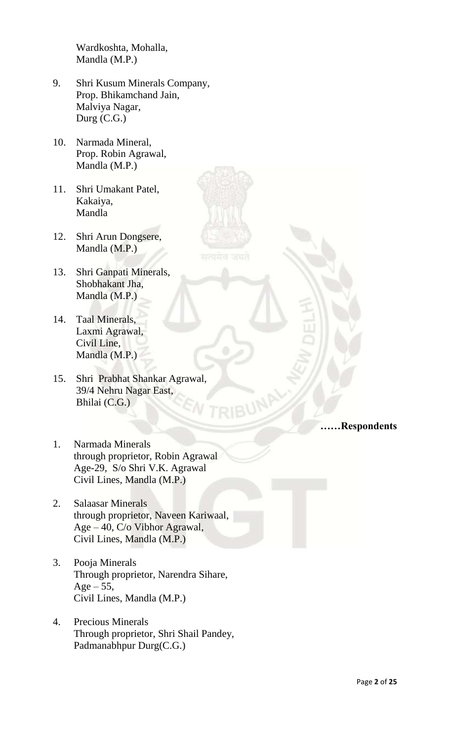Wardkoshta, Mohalla, Mandla (M.P.)

- 9. Shri Kusum Minerals Company, Prop. Bhikamchand Jain, Malviya Nagar, Durg (C.G.)
- 10. Narmada Mineral, Prop. Robin Agrawal, Mandla (M.P.)
- 11. Shri Umakant Patel, Kakaiya, Mandla
- 12. Shri Arun Dongsere, Mandla (M.P.)
- 13. Shri Ganpati Minerals, Shobhakant Jha, Mandla (M.P.)
- 14. Taal Minerals, Laxmi Agrawal, Civil Line, Mandla (M.P.)
- 15. Shri Prabhat Shankar Agrawal, 39/4 Nehru Nagar East, Bhilai (C.G.)

# **RIBUM LE Respondents**

- 1. Narmada Minerals through proprietor, Robin Agrawal Age-29, S/o Shri V.K. Agrawal Civil Lines, Mandla (M.P.)
- 2. Salaasar Minerals through proprietor, Naveen Kariwaal, Age – 40, C/o Vibhor Agrawal, Civil Lines, Mandla (M.P.)
- 3. Pooja Minerals Through proprietor, Narendra Sihare,  $Age - 55$ , Civil Lines, Mandla (M.P.)
- 4. Precious Minerals Through proprietor, Shri Shail Pandey, Padmanabhpur Durg(C.G.)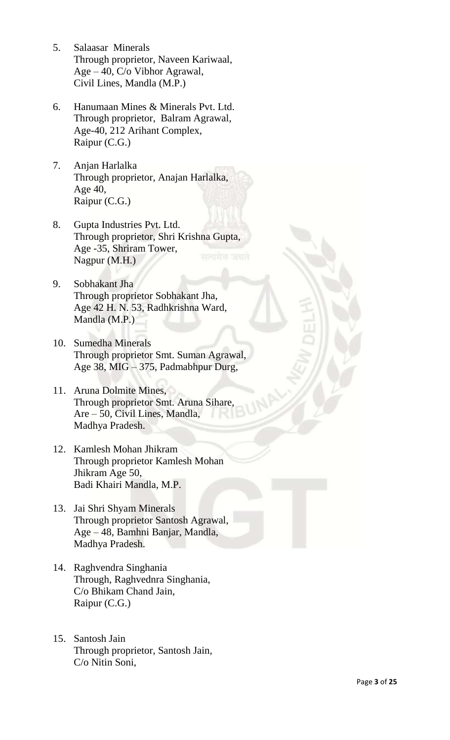- 5. Salaasar Minerals Through proprietor, Naveen Kariwaal, Age – 40, C/o Vibhor Agrawal, Civil Lines, Mandla (M.P.)
- 6. Hanumaan Mines & Minerals Pvt. Ltd. Through proprietor, Balram Agrawal, Age-40, 212 Arihant Complex, Raipur (C.G.)
- 7. Anjan Harlalka Through proprietor, Anajan Harlalka, Age 40, Raipur (C.G.)
- 8. Gupta Industries Pvt. Ltd. Through proprietor, Shri Krishna Gupta, Age -35, Shriram Tower, Nagpur (M.H.)
- 9. Sobhakant Jha Through proprietor Sobhakant Jha, Age 42 H. N. 53, Radhkrishna Ward, Mandla (M.P.)
- 10. Sumedha Minerals Through proprietor Smt. Suman Agrawal, Age 38, MIG – 375, Padmabhpur Durg,
- 11. Aruna Dolmite Mines, Through proprietor Smt. Aruna Sihare, Are – 50, Civil Lines, Mandla, Madhya Pradesh.
- 12. Kamlesh Mohan Jhikram Through proprietor Kamlesh Mohan Jhikram Age 50, Badi Khairi Mandla, M.P.
- 13. Jai Shri Shyam Minerals Through proprietor Santosh Agrawal, Age – 48, Bamhni Banjar, Mandla, Madhya Pradesh.
- 14. Raghvendra Singhania Through, Raghvednra Singhania, C/o Bhikam Chand Jain, Raipur (C.G.)
- 15. Santosh Jain Through proprietor, Santosh Jain, C/o Nitin Soni,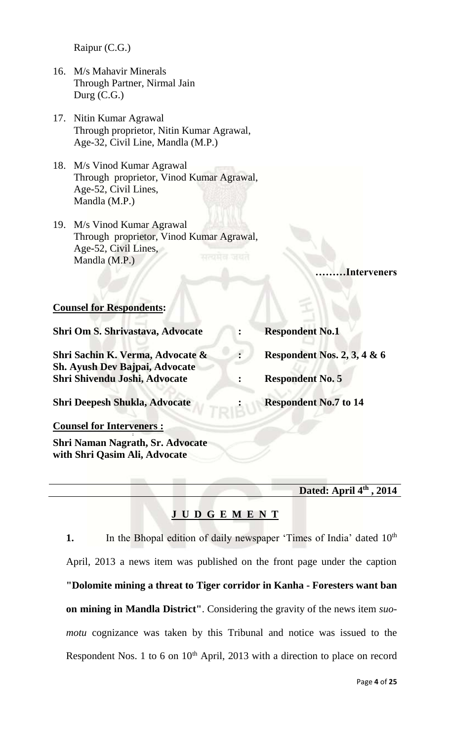Raipur (C.G.)

- 16. M/s Mahavir Minerals Through Partner, Nirmal Jain Durg (C.G.)
- 17. Nitin Kumar Agrawal Through proprietor, Nitin Kumar Agrawal, Age-32, Civil Line, Mandla (M.P.)
- 18. M/s Vinod Kumar Agrawal Through proprietor, Vinod Kumar Agrawal, Age-52, Civil Lines, Mandla (M.P.)
- 19. M/s Vinod Kumar Agrawal Through proprietor, Vinod Kumar Agrawal, Age-52, Civil Lines, Mandla (M.P.)

**………Interveners**

### **Counsel for Respondents:**

**Shri Om S. Shrivastava, Advocate : Respondent No.1 Shri Sachin K. Verma, Advocate & : Respondent Nos. 2, 3, 4 & 6 Sh. Ayush Dev Bajpai, Advocate Shri Shivendu Joshi, Advocate : Respondent No. 5 Shri Deepesh Shukla, Advocate : Respondent No.7 to 14 Counsel for Interveners :**

**: Shri Naman Nagrath, Sr. Advocate with Shri Qasim Ali, Advocate**

**Dated: April 4th , 2014**

# **J U D G E M E N T**

**1.** In the Bhopal edition of daily newspaper 'Times of India' dated 10<sup>th</sup> April, 2013 a news item was published on the front page under the caption **"Dolomite mining a threat to Tiger corridor in Kanha - Foresters want ban on mining in Mandla District"**. Considering the gravity of the news item *suomotu* cognizance was taken by this Tribunal and notice was issued to the Respondent Nos. 1 to 6 on  $10<sup>th</sup>$  April, 2013 with a direction to place on record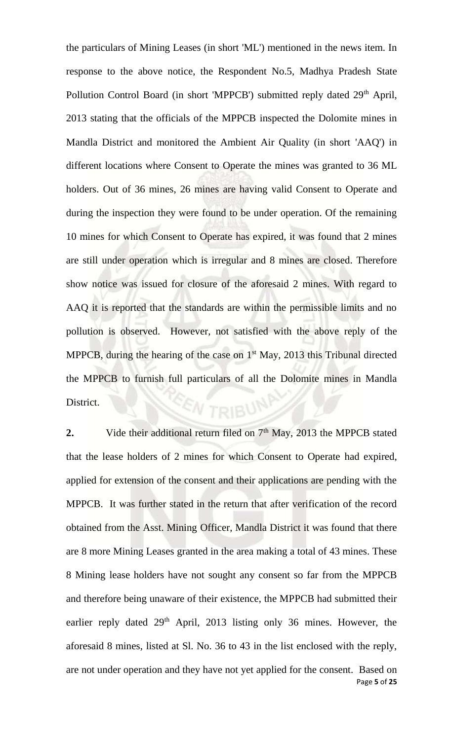the particulars of Mining Leases (in short 'ML') mentioned in the news item. In response to the above notice, the Respondent No.5, Madhya Pradesh State Pollution Control Board (in short 'MPPCB') submitted reply dated 29<sup>th</sup> April, 2013 stating that the officials of the MPPCB inspected the Dolomite mines in Mandla District and monitored the Ambient Air Quality (in short 'AAQ') in different locations where Consent to Operate the mines was granted to 36 ML holders. Out of 36 mines, 26 mines are having valid Consent to Operate and during the inspection they were found to be under operation. Of the remaining 10 mines for which Consent to Operate has expired, it was found that 2 mines are still under operation which is irregular and 8 mines are closed. Therefore show notice was issued for closure of the aforesaid 2 mines. With regard to AAQ it is reported that the standards are within the permissible limits and no pollution is observed. However, not satisfied with the above reply of the MPPCB, during the hearing of the case on  $1<sup>st</sup>$  May, 2013 this Tribunal directed the MPPCB to furnish full particulars of all the Dolomite mines in Mandla District. W TRIBUN

Page **5** of **25 2.** Vide their additional return filed on 7<sup>th</sup> May, 2013 the MPPCB stated that the lease holders of 2 mines for which Consent to Operate had expired, applied for extension of the consent and their applications are pending with the MPPCB. It was further stated in the return that after verification of the record obtained from the Asst. Mining Officer, Mandla District it was found that there are 8 more Mining Leases granted in the area making a total of 43 mines. These 8 Mining lease holders have not sought any consent so far from the MPPCB and therefore being unaware of their existence, the MPPCB had submitted their earlier reply dated 29<sup>th</sup> April, 2013 listing only 36 mines. However, the aforesaid 8 mines, listed at Sl. No. 36 to 43 in the list enclosed with the reply, are not under operation and they have not yet applied for the consent. Based on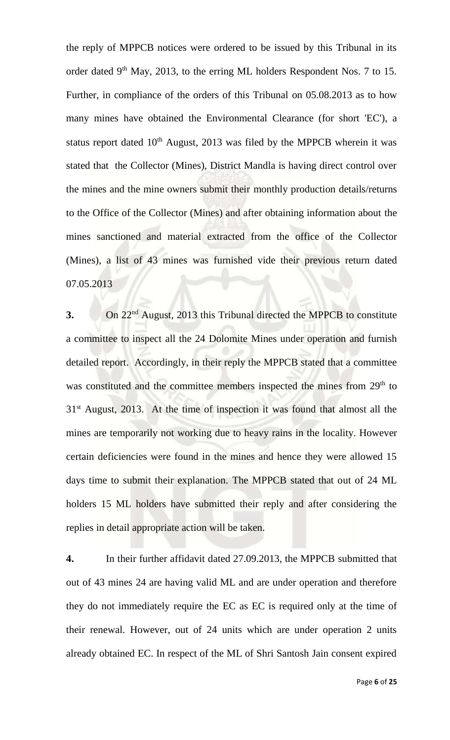the reply of MPPCB notices were ordered to be issued by this Tribunal in its order dated 9<sup>th</sup> May, 2013, to the erring ML holders Respondent Nos. 7 to 15. Further, in compliance of the orders of this Tribunal on 05.08.2013 as to how many mines have obtained the Environmental Clearance (for short 'EC'), a status report dated  $10<sup>th</sup>$  August, 2013 was filed by the MPPCB wherein it was stated that the Collector (Mines), District Mandla is having direct control over the mines and the mine owners submit their monthly production details/returns to the Office of the Collector (Mines) and after obtaining information about the mines sanctioned and material extracted from the office of the Collector (Mines), a list of 43 mines was furnished vide their previous return dated 07.05.2013

**3.** On 22nd August, 2013 this Tribunal directed the MPPCB to constitute a committee to inspect all the 24 Dolomite Mines under operation and furnish detailed report. Accordingly, in their reply the MPPCB stated that a committee was constituted and the committee members inspected the mines from 29<sup>th</sup> to  $31<sup>st</sup>$  August, 2013. At the time of inspection it was found that almost all the mines are temporarily not working due to heavy rains in the locality. However certain deficiencies were found in the mines and hence they were allowed 15 days time to submit their explanation. The MPPCB stated that out of 24 ML holders 15 ML holders have submitted their reply and after considering the replies in detail appropriate action will be taken.

**4.** In their further affidavit dated 27.09.2013, the MPPCB submitted that out of 43 mines 24 are having valid ML and are under operation and therefore they do not immediately require the EC as EC is required only at the time of their renewal. However, out of 24 units which are under operation 2 units already obtained EC. In respect of the ML of Shri Santosh Jain consent expired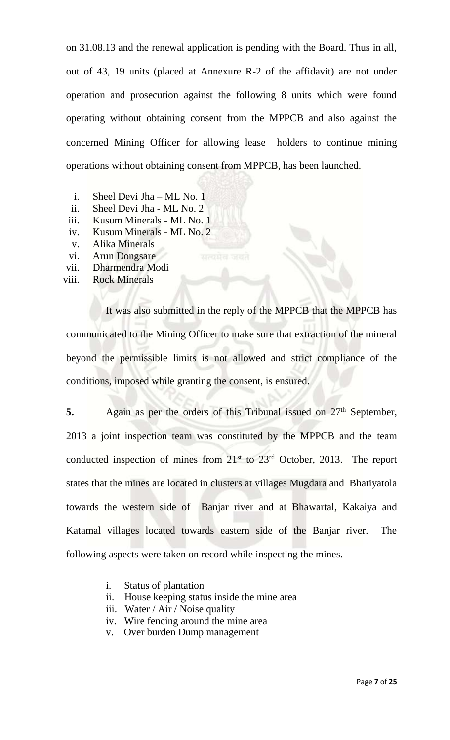on 31.08.13 and the renewal application is pending with the Board. Thus in all, out of 43, 19 units (placed at Annexure R-2 of the affidavit) are not under operation and prosecution against the following 8 units which were found operating without obtaining consent from the MPPCB and also against the concerned Mining Officer for allowing lease holders to continue mining operations without obtaining consent from MPPCB, has been launched.

- i. Sheel Devi Jha ML No. 1
- ii. Sheel Devi Jha ML No. 2
- iii. Kusum Minerals ML No. 1
- iv. Kusum Minerals ML No. 2
- v. Alika Minerals
- vi. Arun Dongsare
- vii. Dharmendra Modi
- viii. Rock Minerals

It was also submitted in the reply of the MPPCB that the MPPCB has communicated to the Mining Officer to make sure that extraction of the mineral beyond the permissible limits is not allowed and strict compliance of the conditions, imposed while granting the consent, is ensured.

**5.** Again as per the orders of this Tribunal issued on 27<sup>th</sup> September, 2013 a joint inspection team was constituted by the MPPCB and the team conducted inspection of mines from  $21^{st}$  to  $23^{rd}$  October, 2013. The report states that the mines are located in clusters at villages Mugdara and Bhatiyatola towards the western side of Banjar river and at Bhawartal, Kakaiya and Katamal villages located towards eastern side of the Banjar river. The following aspects were taken on record while inspecting the mines.

- i. Status of plantation
- ii. House keeping status inside the mine area
- iii. Water / Air / Noise quality
- iv. Wire fencing around the mine area
- v. Over burden Dump management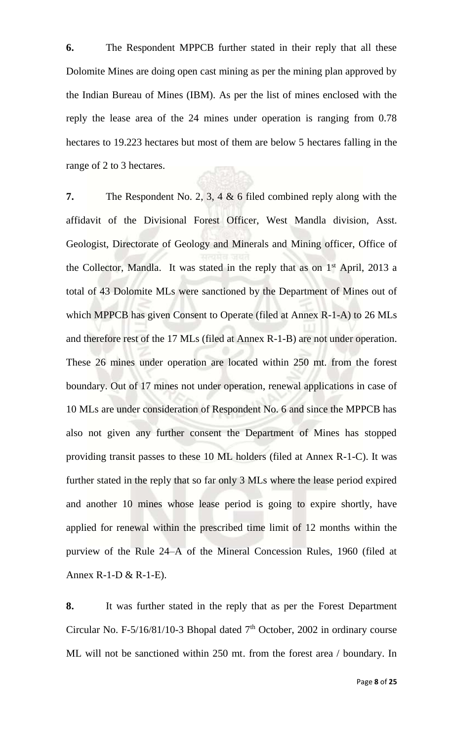**6.** The Respondent MPPCB further stated in their reply that all these Dolomite Mines are doing open cast mining as per the mining plan approved by the Indian Bureau of Mines (IBM). As per the list of mines enclosed with the reply the lease area of the 24 mines under operation is ranging from 0.78 hectares to 19.223 hectares but most of them are below 5 hectares falling in the range of 2 to 3 hectares.

**7.** The Respondent No. 2, 3, 4 & 6 filed combined reply along with the affidavit of the Divisional Forest Officer, West Mandla division, Asst. Geologist, Directorate of Geology and Minerals and Mining officer, Office of the Collector, Mandla. It was stated in the reply that as on  $1<sup>st</sup>$  April, 2013 a total of 43 Dolomite MLs were sanctioned by the Department of Mines out of which MPPCB has given Consent to Operate (filed at Annex R-1-A) to 26 MLs and therefore rest of the 17 MLs (filed at Annex R-1-B) are not under operation. These 26 mines under operation are located within 250 mt. from the forest boundary. Out of 17 mines not under operation, renewal applications in case of 10 MLs are under consideration of Respondent No. 6 and since the MPPCB has also not given any further consent the Department of Mines has stopped providing transit passes to these 10 ML holders (filed at Annex R-1-C). It was further stated in the reply that so far only 3 MLs where the lease period expired and another 10 mines whose lease period is going to expire shortly, have applied for renewal within the prescribed time limit of 12 months within the purview of the Rule 24–A of the Mineral Concession Rules, 1960 (filed at Annex R-1-D & R-1-E).

**8.** It was further stated in the reply that as per the Forest Department Circular No. F-5/16/81/10-3 Bhopal dated  $7<sup>th</sup>$  October, 2002 in ordinary course ML will not be sanctioned within 250 mt. from the forest area / boundary. In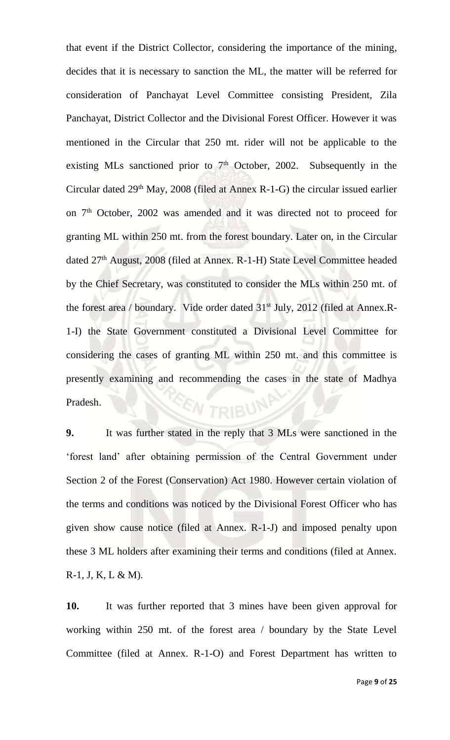that event if the District Collector, considering the importance of the mining, decides that it is necessary to sanction the ML, the matter will be referred for consideration of Panchayat Level Committee consisting President, Zila Panchayat, District Collector and the Divisional Forest Officer. However it was mentioned in the Circular that 250 mt. rider will not be applicable to the existing MLs sanctioned prior to  $7<sup>th</sup>$  October, 2002. Subsequently in the Circular dated  $29<sup>th</sup>$  May,  $2008$  (filed at Annex R-1-G) the circular issued earlier on 7<sup>th</sup> October, 2002 was amended and it was directed not to proceed for granting ML within 250 mt. from the forest boundary. Later on, in the Circular dated 27<sup>th</sup> August, 2008 (filed at Annex. R-1-H) State Level Committee headed by the Chief Secretary, was constituted to consider the MLs within 250 mt. of the forest area / boundary. Vide order dated 31<sup>st</sup> July, 2012 (filed at Annex.R-1-I) the State Government constituted a Divisional Level Committee for considering the cases of granting ML within 250 mt. and this committee is presently examining and recommending the cases in the state of Madhya Pradesh. **N** TRIBUN

**9.** It was further stated in the reply that 3 MLs were sanctioned in the 'forest land' after obtaining permission of the Central Government under Section 2 of the Forest (Conservation) Act 1980. However certain violation of the terms and conditions was noticed by the Divisional Forest Officer who has given show cause notice (filed at Annex. R-1-J) and imposed penalty upon these 3 ML holders after examining their terms and conditions (filed at Annex.  $R-1$ , J, K, L & M).

**10.** It was further reported that 3 mines have been given approval for working within 250 mt. of the forest area / boundary by the State Level Committee (filed at Annex. R-1-O) and Forest Department has written to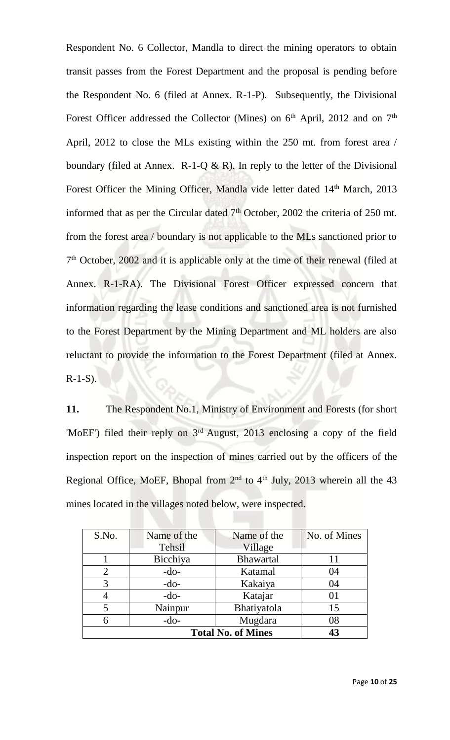Respondent No. 6 Collector, Mandla to direct the mining operators to obtain transit passes from the Forest Department and the proposal is pending before the Respondent No. 6 (filed at Annex. R-1-P). Subsequently, the Divisional Forest Officer addressed the Collector (Mines) on  $6<sup>th</sup>$  April, 2012 and on  $7<sup>th</sup>$ April, 2012 to close the MLs existing within the 250 mt. from forest area / boundary (filed at Annex.  $R-1-Q \& R$ ). In reply to the letter of the Divisional Forest Officer the Mining Officer, Mandla vide letter dated 14<sup>th</sup> March, 2013 informed that as per the Circular dated  $7<sup>th</sup>$  October, 2002 the criteria of 250 mt. from the forest area / boundary is not applicable to the MLs sanctioned prior to 7<sup>th</sup> October, 2002 and it is applicable only at the time of their renewal (filed at Annex. R-1-RA). The Divisional Forest Officer expressed concern that information regarding the lease conditions and sanctioned area is not furnished to the Forest Department by the Mining Department and ML holders are also reluctant to provide the information to the Forest Department (filed at Annex.  $R-1-S$ ).

**11.** The Respondent No.1, Ministry of Environment and Forests (for short 'MoEF') filed their reply on  $3<sup>rd</sup>$  August, 2013 enclosing a copy of the field inspection report on the inspection of mines carried out by the officers of the Regional Office, MoEF, Bhopal from  $2<sup>nd</sup>$  to  $4<sup>th</sup>$  July, 2013 wherein all the 43 mines located in the villages noted below, were inspected.

| S.No.                     | Name of the   | Name of the      | No. of Mines |
|---------------------------|---------------|------------------|--------------|
|                           | <b>Tehsil</b> | Village          |              |
|                           | Bicchiya      | <b>Bhawartal</b> | 11           |
| 2                         | $-do-$        | Katamal          | 04           |
| 3                         | $-do-$        | Kakaiya          | 04           |
|                           | $-do-$        | Katajar          | 01           |
|                           | Nainpur       | Bhatiyatola      | 15           |
| 6                         | $-do-$        | Mugdara          | 08           |
| <b>Total No. of Mines</b> |               |                  | 43           |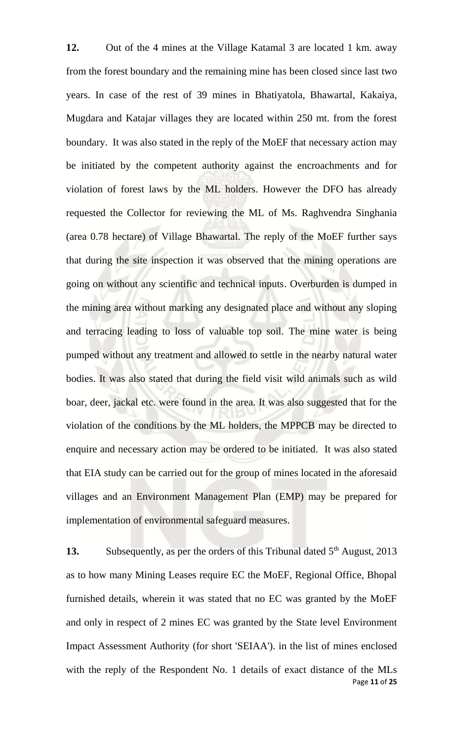**12.** Out of the 4 mines at the Village Katamal 3 are located 1 km. away from the forest boundary and the remaining mine has been closed since last two years. In case of the rest of 39 mines in Bhatiyatola, Bhawartal, Kakaiya, Mugdara and Katajar villages they are located within 250 mt. from the forest boundary. It was also stated in the reply of the MoEF that necessary action may be initiated by the competent authority against the encroachments and for violation of forest laws by the ML holders. However the DFO has already requested the Collector for reviewing the ML of Ms. Raghvendra Singhania (area 0.78 hectare) of Village Bhawartal. The reply of the MoEF further says that during the site inspection it was observed that the mining operations are going on without any scientific and technical inputs. Overburden is dumped in the mining area without marking any designated place and without any sloping and terracing leading to loss of valuable top soil. The mine water is being pumped without any treatment and allowed to settle in the nearby natural water bodies. It was also stated that during the field visit wild animals such as wild boar, deer, jackal etc. were found in the area. It was also suggested that for the violation of the conditions by the ML holders, the MPPCB may be directed to enquire and necessary action may be ordered to be initiated. It was also stated that EIA study can be carried out for the group of mines located in the aforesaid villages and an Environment Management Plan (EMP) may be prepared for implementation of environmental safeguard measures.

Page **11** of **25 13.** Subsequently, as per the orders of this Tribunal dated 5<sup>th</sup> August, 2013 as to how many Mining Leases require EC the MoEF, Regional Office, Bhopal furnished details, wherein it was stated that no EC was granted by the MoEF and only in respect of 2 mines EC was granted by the State level Environment Impact Assessment Authority (for short 'SEIAA'). in the list of mines enclosed with the reply of the Respondent No. 1 details of exact distance of the MLs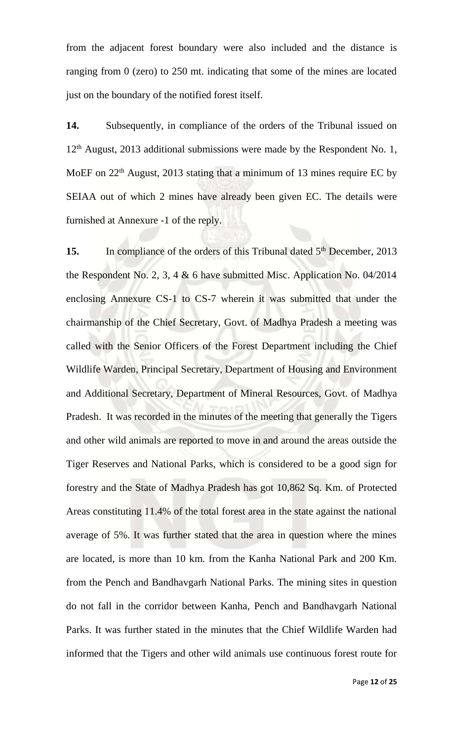from the adjacent forest boundary were also included and the distance is ranging from 0 (zero) to 250 mt. indicating that some of the mines are located just on the boundary of the notified forest itself.

**14.** Subsequently, in compliance of the orders of the Tribunal issued on 12<sup>th</sup> August, 2013 additional submissions were made by the Respondent No. 1, MoEF on 22<sup>th</sup> August, 2013 stating that a minimum of 13 mines require EC by SEIAA out of which 2 mines have already been given EC. The details were furnished at Annexure -1 of the reply.

15. In compliance of the orders of this Tribunal dated 5<sup>th</sup> December, 2013 the Respondent No. 2, 3, 4 & 6 have submitted Misc. Application No. 04/2014 enclosing Annexure CS-1 to CS-7 wherein it was submitted that under the chairmanship of the Chief Secretary, Govt. of Madhya Pradesh a meeting was called with the Senior Officers of the Forest Department including the Chief Wildlife Warden, Principal Secretary, Department of Housing and Environment and Additional Secretary, Department of Mineral Resources, Govt. of Madhya Pradesh. It was recorded in the minutes of the meeting that generally the Tigers and other wild animals are reported to move in and around the areas outside the Tiger Reserves and National Parks, which is considered to be a good sign for forestry and the State of Madhya Pradesh has got 10,862 Sq. Km. of Protected Areas constituting 11.4% of the total forest area in the state against the national average of 5%. It was further stated that the area in question where the mines are located, is more than 10 km. from the Kanha National Park and 200 Km. from the Pench and Bandhavgarh National Parks. The mining sites in question do not fall in the corridor between Kanha, Pench and Bandhavgarh National Parks. It was further stated in the minutes that the Chief Wildlife Warden had informed that the Tigers and other wild animals use continuous forest route for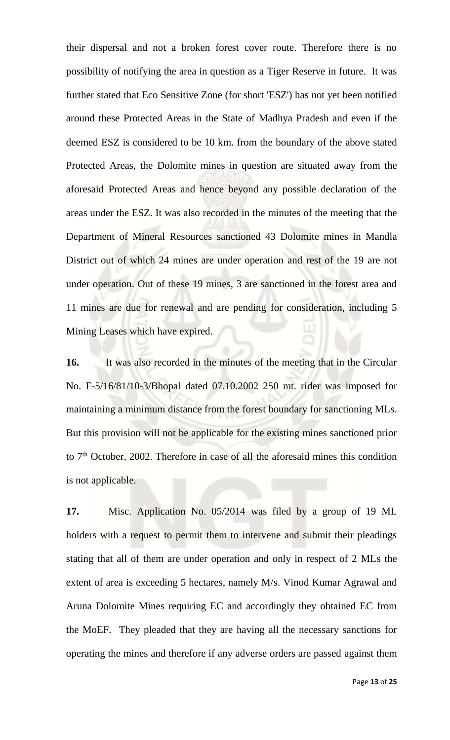their dispersal and not a broken forest cover route. Therefore there is no possibility of notifying the area in question as a Tiger Reserve in future. It was further stated that Eco Sensitive Zone (for short 'ESZ') has not yet been notified around these Protected Areas in the State of Madhya Pradesh and even if the deemed ESZ is considered to be 10 km. from the boundary of the above stated Protected Areas, the Dolomite mines in question are situated away from the aforesaid Protected Areas and hence beyond any possible declaration of the areas under the ESZ. It was also recorded in the minutes of the meeting that the Department of Mineral Resources sanctioned 43 Dolomite mines in Mandla District out of which 24 mines are under operation and rest of the 19 are not under operation. Out of these 19 mines, 3 are sanctioned in the forest area and 11 mines are due for renewal and are pending for consideration, including 5 Mining Leases which have expired.

**16.** It was also recorded in the minutes of the meeting that in the Circular No. F-5/16/81/10-3/Bhopal dated 07.10.2002 250 mt. rider was imposed for maintaining a minimum distance from the forest boundary for sanctioning MLs. But this provision will not be applicable for the existing mines sanctioned prior to  $7<sup>th</sup>$  October, 2002. Therefore in case of all the aforesaid mines this condition is not applicable.

**17.** Misc. Application No. 05/2014 was filed by a group of 19 ML holders with a request to permit them to intervene and submit their pleadings stating that all of them are under operation and only in respect of 2 MLs the extent of area is exceeding 5 hectares, namely M/s. Vinod Kumar Agrawal and Aruna Dolomite Mines requiring EC and accordingly they obtained EC from the MoEF. They pleaded that they are having all the necessary sanctions for operating the mines and therefore if any adverse orders are passed against them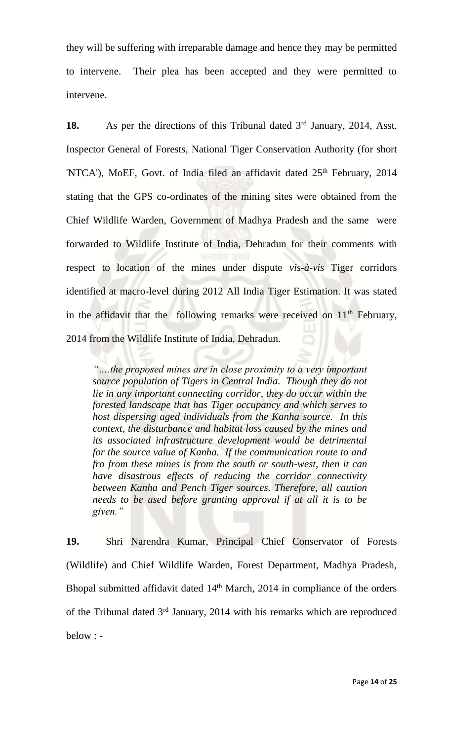they will be suffering with irreparable damage and hence they may be permitted to intervene. Their plea has been accepted and they were permitted to intervene.

**18.** As per the directions of this Tribunal dated 3<sup>rd</sup> January, 2014, Asst. Inspector General of Forests, National Tiger Conservation Authority (for short 'NTCA'), MoEF, Govt. of India filed an affidavit dated 25<sup>th</sup> February, 2014 stating that the GPS co-ordinates of the mining sites were obtained from the Chief Wildlife Warden, Government of Madhya Pradesh and the same were forwarded to Wildlife Institute of India, Dehradun for their comments with respect to location of the mines under dispute *vis-à-vis* Tiger corridors identified at macro-level during 2012 All India Tiger Estimation. It was stated in the affidavit that the following remarks were received on  $11<sup>th</sup>$  February, 2014 from the Wildlife Institute of India, Dehradun.

*"….the proposed mines are in close proximity to a very important source population of Tigers in Central India. Though they do not lie in any important connecting corridor, they do occur within the forested landscape that has Tiger occupancy and which serves to host dispersing aged individuals from the Kanha source. In this context, the disturbance and habitat loss caused by the mines and its associated infrastructure development would be detrimental for the source value of Kanha. If the communication route to and fro from these mines is from the south or south-west, then it can have disastrous effects of reducing the corridor connectivity between Kanha and Pench Tiger sources. Therefore, all caution needs to be used before granting approval if at all it is to be given."*

**19.** Shri Narendra Kumar, Principal Chief Conservator of Forests (Wildlife) and Chief Wildlife Warden, Forest Department, Madhya Pradesh, Bhopal submitted affidavit dated 14<sup>th</sup> March, 2014 in compliance of the orders of the Tribunal dated  $3<sup>rd</sup>$  January, 2014 with his remarks which are reproduced below : -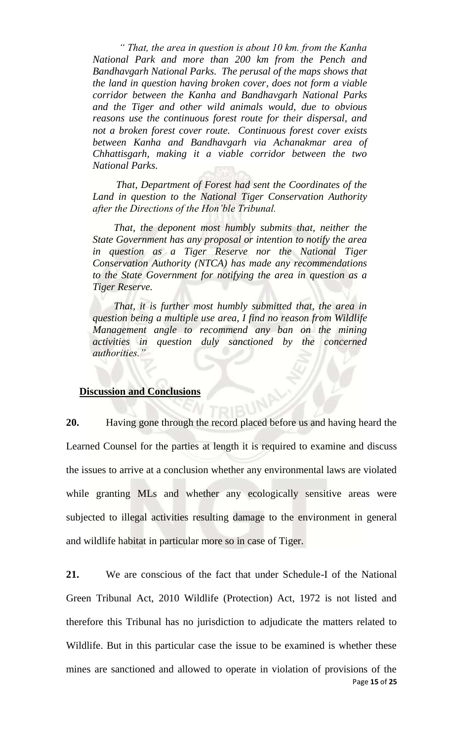*" That, the area in question is about 10 km. from the Kanha National Park and more than 200 km from the Pench and Bandhavgarh National Parks. The perusal of the maps shows that the land in question having broken cover, does not form a viable corridor between the Kanha and Bandhavgarh National Parks and the Tiger and other wild animals would, due to obvious reasons use the continuous forest route for their dispersal, and not a broken forest cover route. Continuous forest cover exists between Kanha and Bandhavgarh via Achanakmar area of Chhattisgarh, making it a viable corridor between the two National Parks.*

 *That, Department of Forest had sent the Coordinates of the Land in question to the National Tiger Conservation Authority after the Directions of the Hon'ble Tribunal.*

 *That, the deponent most humbly submits that, neither the State Government has any proposal or intention to notify the area in question as a Tiger Reserve nor the National Tiger Conservation Authority (NTCA) has made any recommendations to the State Government for notifying the area in question as a Tiger Reserve.*

 *That, it is further most humbly submitted that, the area in question being a multiple use area, I find no reason from Wildlife Management angle to recommend any ban on the mining activities in question duly sanctioned by the concerned authorities."*

### **Discussion and Conclusions**

**20.** Having gone through the record placed before us and having heard the Learned Counsel for the parties at length it is required to examine and discuss the issues to arrive at a conclusion whether any environmental laws are violated while granting MLs and whether any ecologically sensitive areas were subjected to illegal activities resulting damage to the environment in general and wildlife habitat in particular more so in case of Tiger.

Page **15** of **25 21.** We are conscious of the fact that under Schedule-I of the National Green Tribunal Act, 2010 Wildlife (Protection) Act, 1972 is not listed and therefore this Tribunal has no jurisdiction to adjudicate the matters related to Wildlife. But in this particular case the issue to be examined is whether these mines are sanctioned and allowed to operate in violation of provisions of the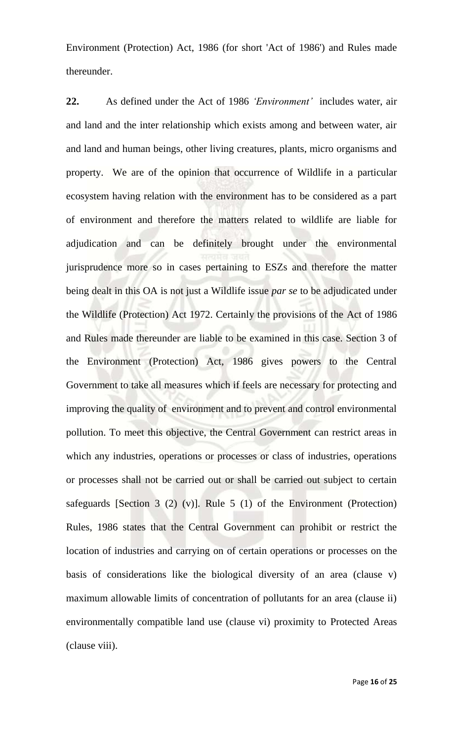Environment (Protection) Act, 1986 (for short 'Act of 1986') and Rules made thereunder.

**22.** As defined under the Act of 1986 *'Environment'* includes water, air and land and the inter relationship which exists among and between water, air and land and human beings, other living creatures, plants, micro organisms and property. We are of the opinion that occurrence of Wildlife in a particular ecosystem having relation with the environment has to be considered as a part of environment and therefore the matters related to wildlife are liable for adjudication and can be definitely brought under the environmental jurisprudence more so in cases pertaining to ESZs and therefore the matter being dealt in this OA is not just a Wildlife issue *par se* to be adjudicated under the Wildlife (Protection) Act 1972. Certainly the provisions of the Act of 1986 and Rules made thereunder are liable to be examined in this case. Section 3 of the Environment (Protection) Act, 1986 gives powers to the Central Government to take all measures which if feels are necessary for protecting and improving the quality of environment and to prevent and control environmental pollution. To meet this objective, the Central Government can restrict areas in which any industries, operations or processes or class of industries, operations or processes shall not be carried out or shall be carried out subject to certain safeguards [Section 3 (2) (v)]. Rule 5 (1) of the Environment (Protection) Rules, 1986 states that the Central Government can prohibit or restrict the location of industries and carrying on of certain operations or processes on the basis of considerations like the biological diversity of an area (clause v) maximum allowable limits of concentration of pollutants for an area (clause ii) environmentally compatible land use (clause vi) proximity to Protected Areas (clause viii).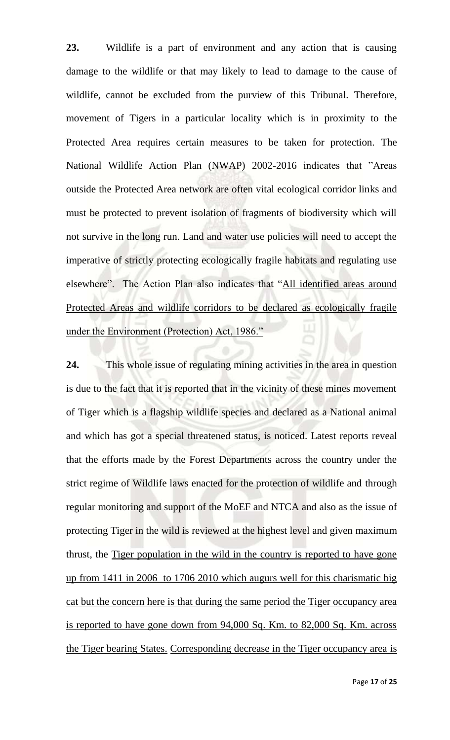**23.** Wildlife is a part of environment and any action that is causing damage to the wildlife or that may likely to lead to damage to the cause of wildlife, cannot be excluded from the purview of this Tribunal. Therefore, movement of Tigers in a particular locality which is in proximity to the Protected Area requires certain measures to be taken for protection. The National Wildlife Action Plan (NWAP) 2002-2016 indicates that "Areas outside the Protected Area network are often vital ecological corridor links and must be protected to prevent isolation of fragments of biodiversity which will not survive in the long run. Land and water use policies will need to accept the imperative of strictly protecting ecologically fragile habitats and regulating use elsewhere". The Action Plan also indicates that "All identified areas around Protected Areas and wildlife corridors to be declared as ecologically fragile under the Environment (Protection) Act, 1986."

**24.** This whole issue of regulating mining activities in the area in question is due to the fact that it is reported that in the vicinity of these mines movement of Tiger which is a flagship wildlife species and declared as a National animal and which has got a special threatened status, is noticed. Latest reports reveal that the efforts made by the Forest Departments across the country under the strict regime of Wildlife laws enacted for the protection of wildlife and through regular monitoring and support of the MoEF and NTCA and also as the issue of protecting Tiger in the wild is reviewed at the highest level and given maximum thrust, the Tiger population in the wild in the country is reported to have gone up from 1411 in 2006 to 1706 2010 which augurs well for this charismatic big cat but the concern here is that during the same period the Tiger occupancy area is reported to have gone down from 94,000 Sq. Km. to 82,000 Sq. Km. across the Tiger bearing States. Corresponding decrease in the Tiger occupancy area is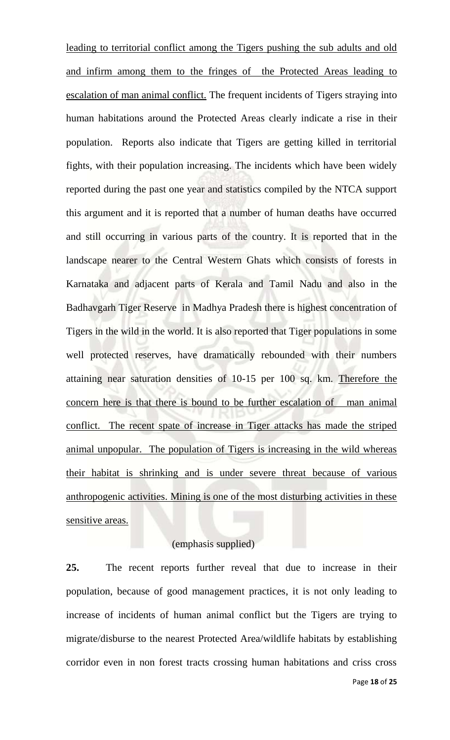leading to territorial conflict among the Tigers pushing the sub adults and old and infirm among them to the fringes of the Protected Areas leading to escalation of man animal conflict. The frequent incidents of Tigers straying into human habitations around the Protected Areas clearly indicate a rise in their population. Reports also indicate that Tigers are getting killed in territorial fights, with their population increasing. The incidents which have been widely reported during the past one year and statistics compiled by the NTCA support this argument and it is reported that a number of human deaths have occurred and still occurring in various parts of the country. It is reported that in the landscape nearer to the Central Western Ghats which consists of forests in Karnataka and adjacent parts of Kerala and Tamil Nadu and also in the Badhavgarh Tiger Reserve in Madhya Pradesh there is highest concentration of Tigers in the wild in the world. It is also reported that Tiger populations in some well protected reserves, have dramatically rebounded with their numbers attaining near saturation densities of 10-15 per 100 sq. km. Therefore the concern here is that there is bound to be further escalation of man animal conflict. The recent spate of increase in Tiger attacks has made the striped animal unpopular. The population of Tigers is increasing in the wild whereas their habitat is shrinking and is under severe threat because of various anthropogenic activities. Mining is one of the most disturbing activities in these sensitive areas.

## (emphasis supplied)

**25.** The recent reports further reveal that due to increase in their population, because of good management practices, it is not only leading to increase of incidents of human animal conflict but the Tigers are trying to migrate/disburse to the nearest Protected Area/wildlife habitats by establishing corridor even in non forest tracts crossing human habitations and criss cross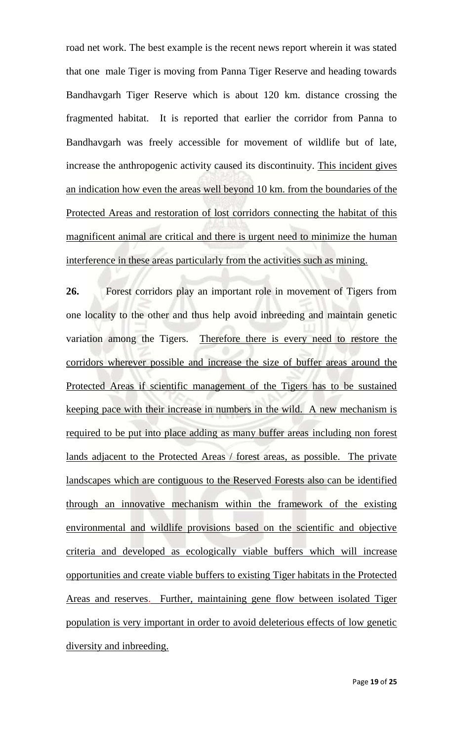road net work. The best example is the recent news report wherein it was stated that one male Tiger is moving from Panna Tiger Reserve and heading towards Bandhavgarh Tiger Reserve which is about 120 km. distance crossing the fragmented habitat. It is reported that earlier the corridor from Panna to Bandhavgarh was freely accessible for movement of wildlife but of late, increase the anthropogenic activity caused its discontinuity. This incident gives an indication how even the areas well beyond 10 km. from the boundaries of the Protected Areas and restoration of lost corridors connecting the habitat of this magnificent animal are critical and there is urgent need to minimize the human interference in these areas particularly from the activities such as mining.

**26.** Forest corridors play an important role in movement of Tigers from one locality to the other and thus help avoid inbreeding and maintain genetic variation among the Tigers. Therefore there is every need to restore the corridors wherever possible and increase the size of buffer areas around the Protected Areas if scientific management of the Tigers has to be sustained keeping pace with their increase in numbers in the wild. A new mechanism is required to be put into place adding as many buffer areas including non forest lands adjacent to the Protected Areas / forest areas, as possible. The private landscapes which are contiguous to the Reserved Forests also can be identified through an innovative mechanism within the framework of the existing environmental and wildlife provisions based on the scientific and objective criteria and developed as ecologically viable buffers which will increase opportunities and create viable buffers to existing Tiger habitats in the Protected Areas and reserves. Further, maintaining gene flow between isolated Tiger population is very important in order to avoid deleterious effects of low genetic diversity and inbreeding.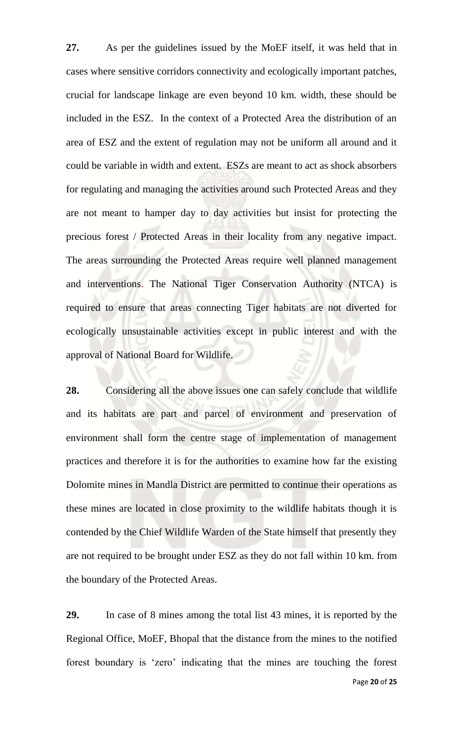**27.** As per the guidelines issued by the MoEF itself, it was held that in cases where sensitive corridors connectivity and ecologically important patches, crucial for landscape linkage are even beyond 10 km. width, these should be included in the ESZ. In the context of a Protected Area the distribution of an area of ESZ and the extent of regulation may not be uniform all around and it could be variable in width and extent. ESZs are meant to act as shock absorbers for regulating and managing the activities around such Protected Areas and they are not meant to hamper day to day activities but insist for protecting the precious forest / Protected Areas in their locality from any negative impact. The areas surrounding the Protected Areas require well planned management and interventions. The National Tiger Conservation Authority (NTCA) is required to ensure that areas connecting Tiger habitats are not diverted for ecologically unsustainable activities except in public interest and with the approval of National Board for Wildlife.

**28.** Considering all the above issues one can safely conclude that wildlife and its habitats are part and parcel of environment and preservation of environment shall form the centre stage of implementation of management practices and therefore it is for the authorities to examine how far the existing Dolomite mines in Mandla District are permitted to continue their operations as these mines are located in close proximity to the wildlife habitats though it is contended by the Chief Wildlife Warden of the State himself that presently they are not required to be brought under ESZ as they do not fall within 10 km. from the boundary of the Protected Areas.

**29.** In case of 8 mines among the total list 43 mines, it is reported by the Regional Office, MoEF, Bhopal that the distance from the mines to the notified forest boundary is 'zero' indicating that the mines are touching the forest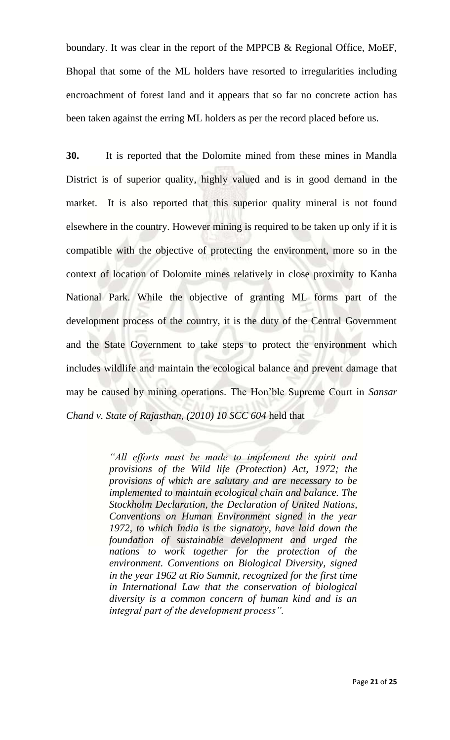boundary. It was clear in the report of the MPPCB & Regional Office, MoEF, Bhopal that some of the ML holders have resorted to irregularities including encroachment of forest land and it appears that so far no concrete action has been taken against the erring ML holders as per the record placed before us.

**30.** It is reported that the Dolomite mined from these mines in Mandla District is of superior quality, highly valued and is in good demand in the market. It is also reported that this superior quality mineral is not found elsewhere in the country. However mining is required to be taken up only if it is compatible with the objective of protecting the environment, more so in the context of location of Dolomite mines relatively in close proximity to Kanha National Park. While the objective of granting ML forms part of the development process of the country, it is the duty of the Central Government and the State Government to take steps to protect the environment which includes wildlife and maintain the ecological balance and prevent damage that may be caused by mining operations. The Hon'ble Supreme Court in *Sansar Chand v. State of Rajasthan, (2010) 10 SCC 604* held that

> *"All efforts must be made to implement the spirit and provisions of the Wild life (Protection) Act, 1972; the provisions of which are salutary and are necessary to be implemented to maintain ecological chain and balance. The Stockholm Declaration, the Declaration of United Nations, Conventions on Human Environment signed in the year 1972, to which India is the signatory, have laid down the foundation of sustainable development and urged the nations to work together for the protection of the environment. Conventions on Biological Diversity, signed in the year 1962 at Rio Summit, recognized for the first time in International Law that the conservation of biological diversity is a common concern of human kind and is an integral part of the development process".*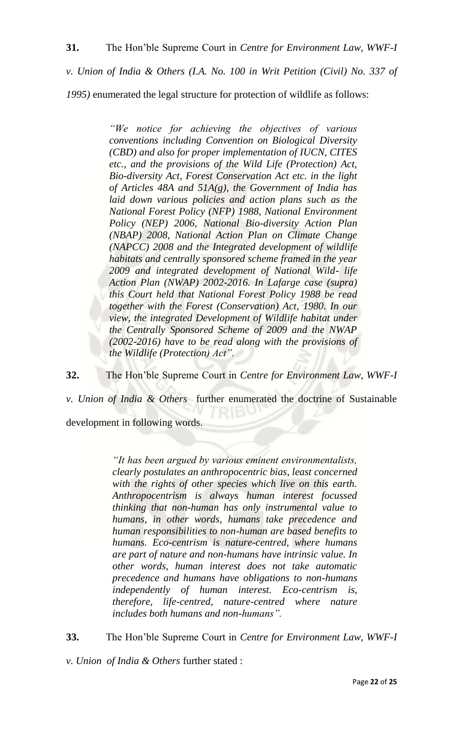*v. Union of India & Others (I.A. No. 100 in Writ Petition (Civil) No. 337 of*

*1995)* enumerated the legal structure for protection of wildlife as follows:

*"We notice for achieving the objectives of various conventions including Convention on Biological Diversity (CBD) and also for proper implementation of IUCN, CITES etc., and the provisions of the Wild Life (Protection) Act, Bio-diversity Act, Forest Conservation Act etc. in the light of Articles 48A and 51A(g), the Government of India has laid down various policies and action plans such as the National Forest Policy (NFP) 1988, National Environment Policy (NEP) 2006, National Bio-diversity Action Plan (NBAP) 2008, National Action Plan on Climate Change (NAPCC) 2008 and the Integrated development of wildlife habitats and centrally sponsored scheme framed in the year 2009 and integrated development of National Wild- life Action Plan (NWAP) 2002-2016. In Lafarge case (supra) this Court held that National Forest Policy 1988 be read together with the Forest (Conservation) Act, 1980. In our view, the integrated Development of Wildlife habitat under the Centrally Sponsored Scheme of 2009 and the NWAP (2002-2016) have to be read along with the provisions of the Wildlife (Protection) Act".*

**32.** The Hon'ble Supreme Court in *Centre for Environment Law, WWF-I* 

*v. Union of India & Others* further enumerated the doctrine of Sustainable

development in following words.

*"It has been argued by various eminent environmentalists, clearly postulates an anthropocentric bias, least concerned with the rights of other species which live on this earth. Anthropocentrism is always human interest focussed thinking that non-human has only instrumental value to humans, in other words, humans take precedence and human responsibilities to non-human are based benefits to humans. Eco-centrism is nature-centred, where humans are part of nature and non-humans have intrinsic value. In other words, human interest does not take automatic precedence and humans have obligations to non-humans independently of human interest. Eco-centrism is, therefore, life-centred, nature-centred where nature includes both humans and non-humans".*

**33.** The Hon'ble Supreme Court in *Centre for Environment Law, WWF-I* 

*v. Union of India & Others* further stated :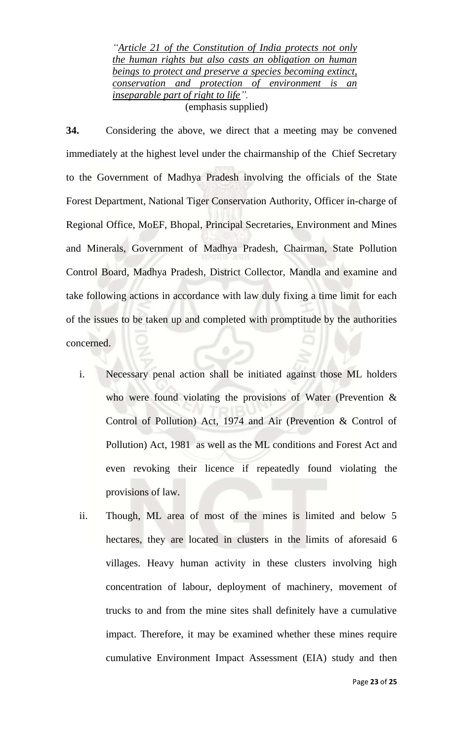*"Article 21 of the Constitution of India protects not only the human rights but also casts an obligation on human beings to protect and preserve a species becoming extinct, conservation and protection of environment is an inseparable part of right to life".* (emphasis supplied)

**34.** Considering the above, we direct that a meeting may be convened immediately at the highest level under the chairmanship of the Chief Secretary to the Government of Madhya Pradesh involving the officials of the State Forest Department, National Tiger Conservation Authority, Officer in-charge of Regional Office, MoEF, Bhopal, Principal Secretaries, Environment and Mines and Minerals, Government of Madhya Pradesh, Chairman, State Pollution Control Board, Madhya Pradesh, District Collector, Mandla and examine and take following actions in accordance with law duly fixing a time limit for each of the issues to be taken up and completed with promptitude by the authorities concerned.

- i. Necessary penal action shall be initiated against those ML holders who were found violating the provisions of Water (Prevention & Control of Pollution) Act, 1974 and Air (Prevention & Control of Pollution) Act, 1981 as well as the ML conditions and Forest Act and even revoking their licence if repeatedly found violating the provisions of law.
- ii. Though, ML area of most of the mines is limited and below 5 hectares, they are located in clusters in the limits of aforesaid 6 villages. Heavy human activity in these clusters involving high concentration of labour, deployment of machinery, movement of trucks to and from the mine sites shall definitely have a cumulative impact. Therefore, it may be examined whether these mines require cumulative Environment Impact Assessment (EIA) study and then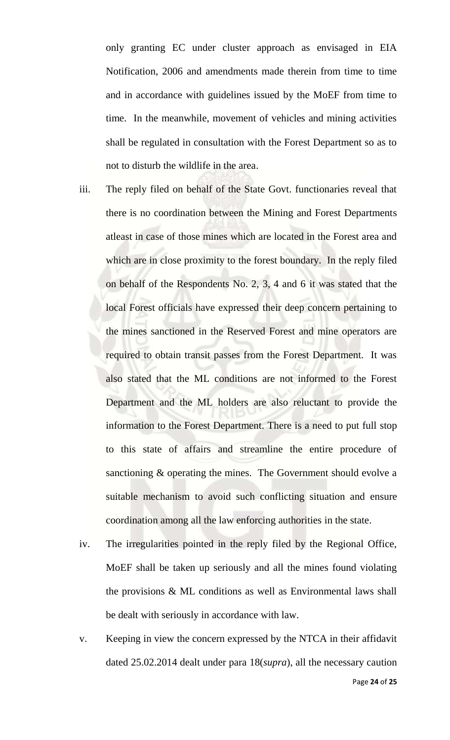only granting EC under cluster approach as envisaged in EIA Notification, 2006 and amendments made therein from time to time and in accordance with guidelines issued by the MoEF from time to time. In the meanwhile, movement of vehicles and mining activities shall be regulated in consultation with the Forest Department so as to not to disturb the wildlife in the area.

- iii. The reply filed on behalf of the State Govt. functionaries reveal that there is no coordination between the Mining and Forest Departments atleast in case of those mines which are located in the Forest area and which are in close proximity to the forest boundary. In the reply filed on behalf of the Respondents No. 2, 3, 4 and 6 it was stated that the local Forest officials have expressed their deep concern pertaining to the mines sanctioned in the Reserved Forest and mine operators are required to obtain transit passes from the Forest Department. It was also stated that the ML conditions are not informed to the Forest Department and the ML holders are also reluctant to provide the information to the Forest Department. There is a need to put full stop to this state of affairs and streamline the entire procedure of sanctioning & operating the mines. The Government should evolve a suitable mechanism to avoid such conflicting situation and ensure coordination among all the law enforcing authorities in the state.
- iv. The irregularities pointed in the reply filed by the Regional Office, MoEF shall be taken up seriously and all the mines found violating the provisions & ML conditions as well as Environmental laws shall be dealt with seriously in accordance with law.
- v. Keeping in view the concern expressed by the NTCA in their affidavit dated 25.02.2014 dealt under para 18(*supra*), all the necessary caution